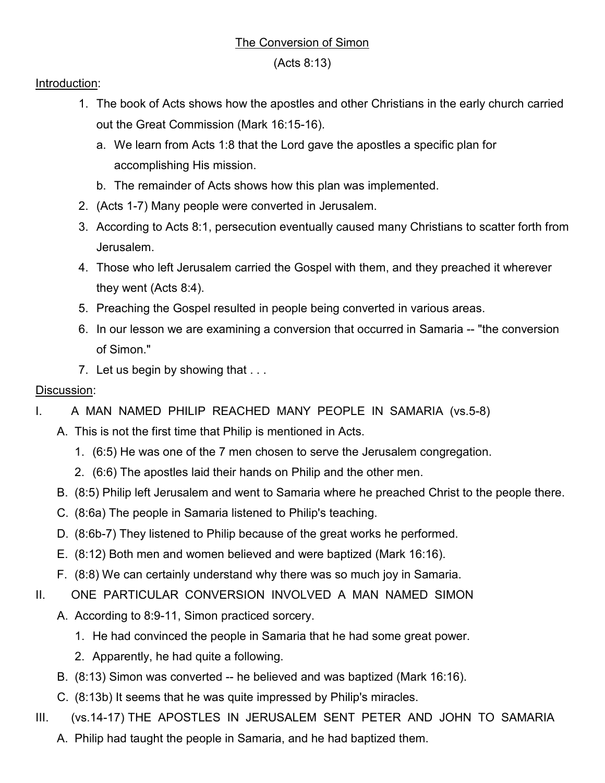## The Conversion of Simon

(Acts 8:13)

## Introduction:

- 1. The book of Acts shows how the apostles and other Christians in the early church carried out the Great Commission (Mark 16:15-16).
	- a. We learn from Acts 1:8 that the Lord gave the apostles a specific plan for accomplishing His mission.
	- b. The remainder of Acts shows how this plan was implemented.
- 2. (Acts 1-7) Many people were converted in Jerusalem.
- 3. According to Acts 8:1, persecution eventually caused many Christians to scatter forth from Jerusalem.
- 4. Those who left Jerusalem carried the Gospel with them, and they preached it wherever they went (Acts 8:4).
- 5. Preaching the Gospel resulted in people being converted in various areas.
- 6. In our lesson we are examining a conversion that occurred in Samaria -- "the conversion of Simon."
- 7. Let us begin by showing that ...

## Discussion:

- I. A MAN NAMED PHILIP REACHED MANY PEOPLE IN SAMARIA (vs.5-8)
	- A. This is not the first time that Philip is mentioned in Acts.
		- 1. (6:5) He was one of the 7 men chosen to serve the Jerusalem congregation.
		- 2. (6:6) The apostles laid their hands on Philip and the other men.
	- B. (8:5) Philip left Jerusalem and went to Samaria where he preached Christ to the people there.
	- C. (8:6a) The people in Samaria listened to Philip's teaching.
	- D. (8:6b-7) They listened to Philip because of the great works he performed.
	- E. (8:12) Both men and women believed and were baptized (Mark 16:16).
	- F. (8:8) We can certainly understand why there was so much joy in Samaria.
- II. ONE PARTICULAR CONVERSION INVOLVED A MAN NAMED SIMON
	- A. According to 8:9-11, Simon practiced sorcery.
		- 1. He had convinced the people in Samaria that he had some great power.
		- 2. Apparently, he had quite a following.
	- B. (8:13) Simon was converted -- he believed and was baptized (Mark 16:16).
	- C. (8:13b) It seems that he was quite impressed by Philip's miracles.
- III. (vs.14-17) THE APOSTLES IN JERUSALEM SENT PETER AND JOHN TO SAMARIA A. Philip had taught the people in Samaria, and he had baptized them.